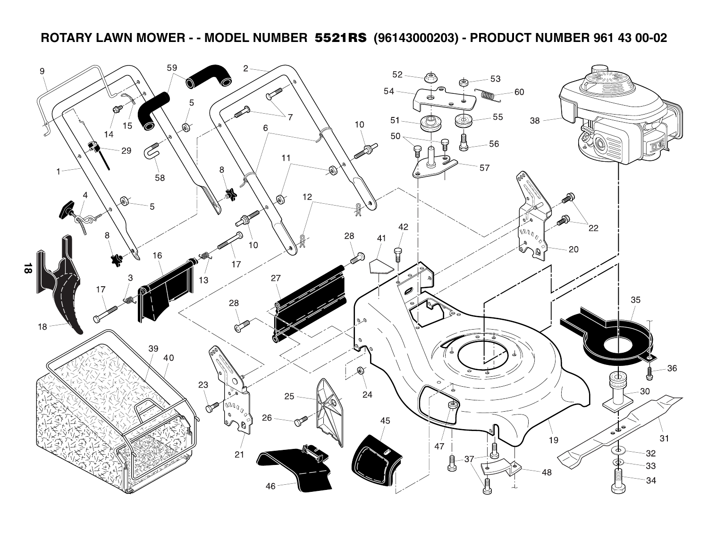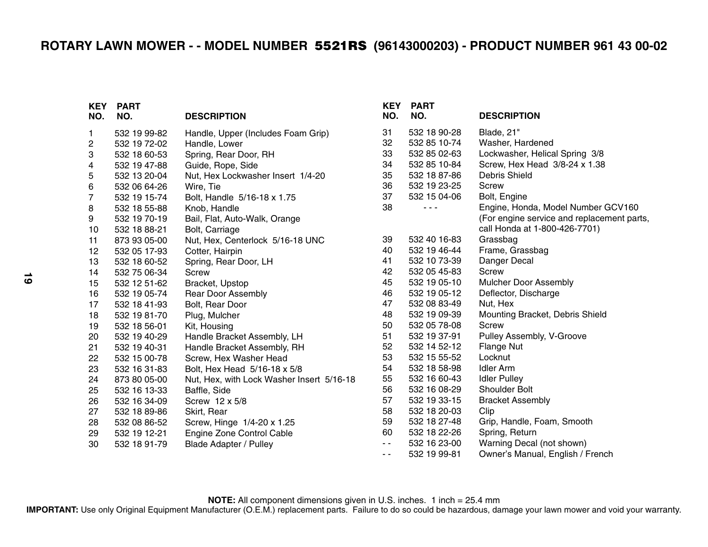| KEY<br>NO. | <b>PART</b><br>NO. | <b>DESCRIPTION</b>                        | <b>KEY</b><br>NO. | <b>PART</b><br>NO. | <b>DESCRIPTION</b>                         |
|------------|--------------------|-------------------------------------------|-------------------|--------------------|--------------------------------------------|
| 1          | 532 19 99-82       | Handle, Upper (Includes Foam Grip)        | 31                | 532 18 90-28       | Blade, 21"                                 |
| 2          | 532 19 72-02       | Handle, Lower                             | 32                | 532 85 10-74       | Washer, Hardened                           |
| 3          | 532 18 60-53       | Spring, Rear Door, RH                     | 33                | 532 85 02-63       | Lockwasher, Helical Spring 3/8             |
| 4          | 532 19 47-88       | Guide, Rope, Side                         | 34                | 532 85 10-84       | Screw, Hex Head 3/8-24 x 1.38              |
| 5          | 532 13 20-04       | Nut, Hex Lockwasher Insert 1/4-20         | 35                | 532 18 87-86       | Debris Shield                              |
| 6          | 532 06 64-26       | Wire, Tie                                 | 36                | 532 19 23-25       | Screw                                      |
| 7          | 532 19 15-74       | Bolt, Handle 5/16-18 x 1.75               | 37                | 532 15 04-06       | Bolt, Engine                               |
| 8          | 532 18 55-88       | Knob, Handle                              | 38                | $  -$              | Engine, Honda, Model Number GCV160         |
| 9          | 532 19 70-19       | Bail, Flat, Auto-Walk, Orange             |                   |                    | (For engine service and replacement parts, |
| 10         | 532 18 88-21       | Bolt, Carriage                            |                   |                    | call Honda at 1-800-426-7701)              |
| 11         | 873 93 05-00       | Nut, Hex, Centerlock 5/16-18 UNC          | 39                | 532 40 16-83       | Grassbag                                   |
| 12         | 532 05 17-93       | Cotter, Hairpin                           | 40                | 532 19 46-44       | Frame, Grassbag                            |
| 13         | 532 18 60-52       | Spring, Rear Door, LH                     | 41                | 532 10 73-39       | Danger Decal                               |
| 14         | 532 75 06-34       | <b>Screw</b>                              | 42                | 532 05 45-83       | Screw                                      |
| 15         | 532 12 51-62       | Bracket, Upstop                           | 45                | 532 19 05-10       | Mulcher Door Assembly                      |
| 16         | 532 19 05-74       | <b>Rear Door Assembly</b>                 | 46                | 532 19 05-12       | Deflector, Discharge                       |
| 17         | 532 18 41-93       | Bolt, Rear Door                           | 47                | 532 08 83-49       | Nut, Hex                                   |
| 18         | 532 19 81-70       | Plug, Mulcher                             | 48                | 532 19 09-39       | Mounting Bracket, Debris Shield            |
| 19         | 532 18 56-01       | Kit, Housing                              | 50                | 532 05 78-08       | <b>Screw</b>                               |
| 20         | 532 19 40-29       | Handle Bracket Assembly, LH               | 51                | 532 19 37-91       | Pulley Assembly, V-Groove                  |
| 21         | 532 19 40-31       | Handle Bracket Assembly, RH               | 52                | 532 14 52-12       | <b>Flange Nut</b>                          |
| 22         | 532 15 00-78       | Screw, Hex Washer Head                    | 53                | 532 15 55-52       | Locknut                                    |
| 23         | 532 16 31-83       | Bolt, Hex Head 5/16-18 x 5/8              | 54                | 532 18 58-98       | <b>Idler Arm</b>                           |
| 24         | 873 80 05-00       | Nut, Hex, with Lock Washer Insert 5/16-18 | 55                | 532 16 60-43       | <b>Idler Pulley</b>                        |
| 25         | 532 16 13-33       | Baffle, Side                              | 56                | 532 16 08-29       | Shoulder Bolt                              |
| 26         | 532 16 34-09       | Screw 12 x 5/8                            | 57                | 532 19 33-15       | <b>Bracket Assembly</b>                    |
| 27         | 532 18 89-86       | Skirt, Rear                               | 58                | 532 18 20-03       | Clip                                       |
| 28         | 532 08 86-52       | Screw, Hinge 1/4-20 x 1.25                | 59                | 532 18 27-48       | Grip, Handle, Foam, Smooth                 |
| 29         | 532 19 12-21       | Engine Zone Control Cable                 | 60                | 532 18 22-26       | Spring, Return                             |
| 30         | 532 18 91-79       | <b>Blade Adapter / Pulley</b>             | $\sim$ $\sim$     | 532 16 23-00       | Warning Decal (not shown)                  |
|            |                    |                                           | $ -$              | 532 19 99-81       | Owner's Manual, English / French           |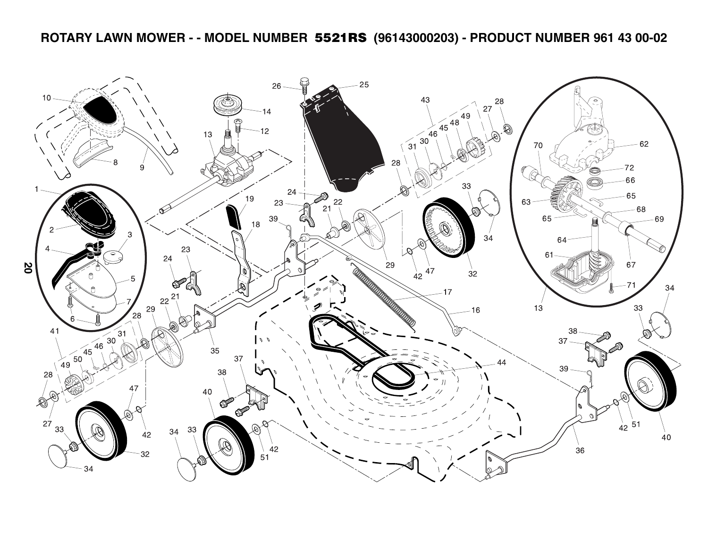